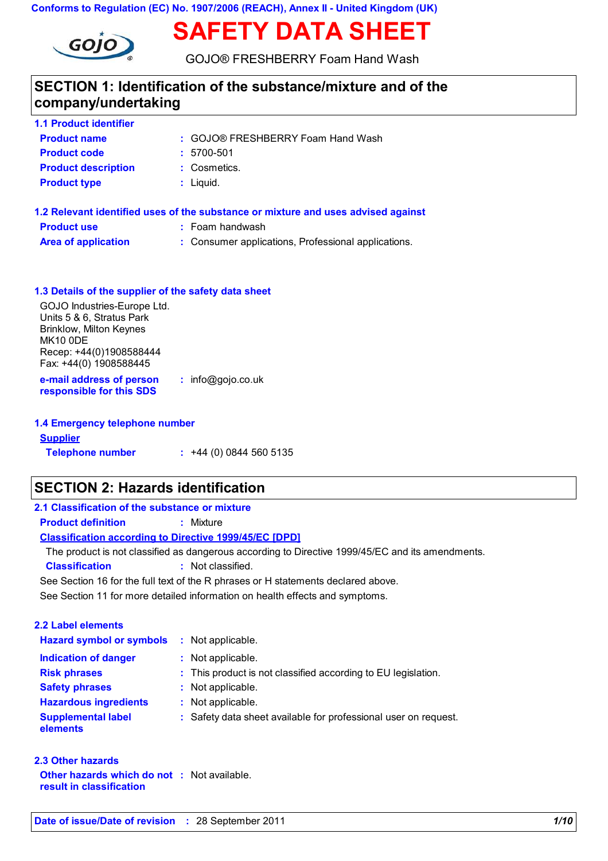**Conforms to Regulation (EC) No. 1907/2006 (REACH), Annex II - United Kingdom (UK)**



GOJO® FRESHBERRY Foam Hand Wash

**SAFETY DATA SHEET**

## **SECTION 1: Identification of the substance/mixture and of the company/undertaking**

| <b>1.1 Product identifier</b> |                                   |
|-------------------------------|-----------------------------------|
| <b>Product name</b>           | : GOJO® FRESHBERRY Foam Hand Wash |
| <b>Product code</b>           | $: 5700 - 501$                    |
| <b>Product description</b>    | : Cosmetics.                      |
| <b>Product type</b>           | $:$ Liquid.                       |
|                               |                                   |
|                               |                                   |

| 1.2 Relevant identified uses of the substance or mixture and uses advised against |                                                     |  |  |  |
|-----------------------------------------------------------------------------------|-----------------------------------------------------|--|--|--|
| <b>Product use</b>                                                                | : Foam handwash                                     |  |  |  |
| <b>Area of application</b>                                                        | : Consumer applications, Professional applications. |  |  |  |

| 1.3 Details of the supplier of the safety data sheet                                                                                                               |                     |
|--------------------------------------------------------------------------------------------------------------------------------------------------------------------|---------------------|
| GOJO Industries-Europe Ltd.<br>Units 5 & 6, Stratus Park<br><b>Brinklow, Milton Keynes</b><br><b>MK10 ODE</b><br>Recep: +44(0)1908588444<br>Fax: +44(0) 1908588445 |                     |
| e-mail address of person<br>responsible for this SDS                                                                                                               | $:$ info@gojo.co.uk |
|                                                                                                                                                                    |                     |

| 1.4 Emergency telephone number |                       |
|--------------------------------|-----------------------|
| <b>Supplier</b>                |                       |
| <b>Telephone number</b>        | $: +44(0)08445605135$ |

## **SECTION 2: Hazards identification**

| 2.1 Classification of the substance or mixture                                    |                                                                                                  |  |  |  |
|-----------------------------------------------------------------------------------|--------------------------------------------------------------------------------------------------|--|--|--|
| <b>Product definition</b>                                                         | : Mixture                                                                                        |  |  |  |
| <b>Classification according to Directive 1999/45/EC [DPD]</b>                     |                                                                                                  |  |  |  |
|                                                                                   | The product is not classified as dangerous according to Directive 1999/45/EC and its amendments. |  |  |  |
| <b>Classification</b>                                                             | : Not classified.                                                                                |  |  |  |
| See Section 16 for the full text of the R phrases or H statements declared above. |                                                                                                  |  |  |  |
|                                                                                   | See Section 11 for more detailed information on health effects and symptoms.                     |  |  |  |
|                                                                                   |                                                                                                  |  |  |  |
| 2.2 Label elements                                                                |                                                                                                  |  |  |  |
| <b>Hazard symbol or symbols</b>                                                   | : Not applicable.                                                                                |  |  |  |
| <b>Indication of danger</b>                                                       | : Not applicable.                                                                                |  |  |  |
| <b>Risk phrases</b>                                                               | : This product is not classified according to EU legislation.                                    |  |  |  |
| <b>Safety phrases</b>                                                             | : Not applicable.                                                                                |  |  |  |
| <b>Hazardous ingredients</b>                                                      | : Not applicable.                                                                                |  |  |  |
| <b>Supplemental label</b><br>elements                                             | : Safety data sheet available for professional user on request.                                  |  |  |  |
|                                                                                   |                                                                                                  |  |  |  |

### **Other hazards which do not :** Not available. **2.3 Other hazards**

**result in classification**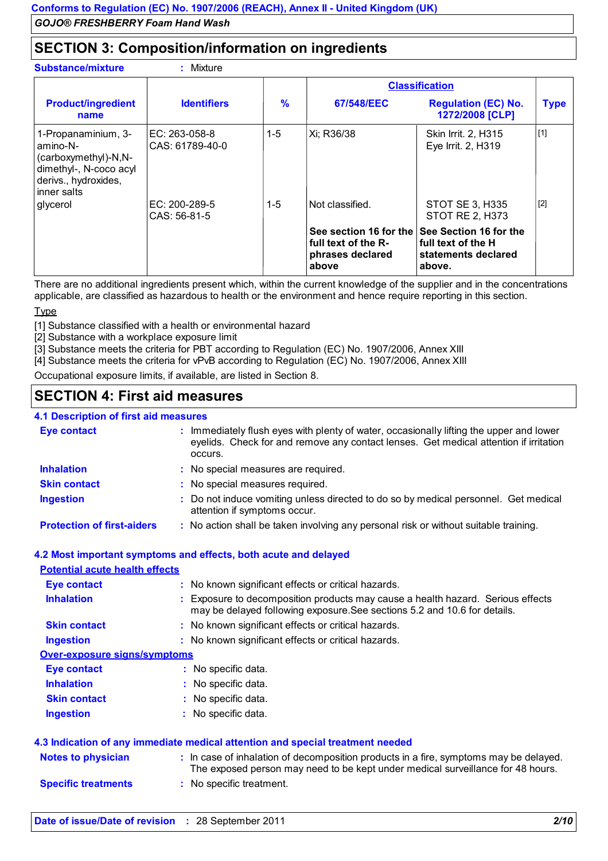## **SECTION 3: Composition/information on ingredients**

**:**

#### **Substance/mixture**

|                                                                                                                          |                                  |       |                                                                                               | <b>Classification</b>                                                                                                               |             |
|--------------------------------------------------------------------------------------------------------------------------|----------------------------------|-------|-----------------------------------------------------------------------------------------------|-------------------------------------------------------------------------------------------------------------------------------------|-------------|
| <b>Product/ingredient</b><br>name                                                                                        | <b>Identifiers</b>               | %     | 67/548/EEC                                                                                    | <b>Regulation (EC) No.</b><br>1272/2008 [CLP]                                                                                       | <b>Type</b> |
| 1-Propanaminium, 3-<br>amino-N-<br>(carboxymethyl)-N,N-<br>dimethyl-, N-coco acyl<br>derivs., hydroxides,<br>inner salts | EC: 263-058-8<br>CAS: 61789-40-0 | $1-5$ | Xi; R36/38                                                                                    | Skin Irrit. 2, H315<br>Eye Irrit. 2, H319                                                                                           | $[1]$       |
| glycerol                                                                                                                 | EC: 200-289-5<br>CAS: 56-81-5    | 1-5   | Not classified.<br>See section 16 for the<br>full text of the R-<br>phrases declared<br>above | <b>STOT SE 3, H335</b><br><b>STOT RE 2, H373</b><br>See Section 16 for the<br>l full text of the H<br>statements declared<br>above. | $[2]$       |

There are no additional ingredients present which, within the current knowledge of the supplier and in the concentrations applicable, are classified as hazardous to health or the environment and hence require reporting in this section.

Type

[1] Substance classified with a health or environmental hazard

[2] Substance with a workplace exposure limit

[3] Substance meets the criteria for PBT according to Regulation (EC) No. 1907/2006, Annex XIII

[4] Substance meets the criteria for vPvB according to Regulation (EC) No. 1907/2006, Annex XIII

Occupational exposure limits, if available, are listed in Section 8.

## **SECTION 4: First aid measures**

#### Immediately flush eyes with plenty of water, occasionally lifting the upper and lower **4.1 Description of first aid measures Eye contact :**

|                                   | eyelids. Check for and remove any contact lenses. Get medical attention if irritation<br>occurs.                    |
|-----------------------------------|---------------------------------------------------------------------------------------------------------------------|
| <b>Inhalation</b>                 | : No special measures are required.                                                                                 |
| <b>Skin contact</b>               | : No special measures required.                                                                                     |
| <b>Ingestion</b>                  | : Do not induce vomiting unless directed to do so by medical personnel. Get medical<br>attention if symptoms occur. |
| <b>Protection of first-aiders</b> | : No action shall be taken involving any personal risk or without suitable training.                                |

# **4.2 Most important symptoms and effects, both acute and delayed**

| <b>Potential acute health effects</b> |                                                                                                                                                                          |
|---------------------------------------|--------------------------------------------------------------------------------------------------------------------------------------------------------------------------|
| <b>Eye contact</b>                    | : No known significant effects or critical hazards.                                                                                                                      |
| <b>Inhalation</b>                     | : Exposure to decomposition products may cause a health hazard. Serious effects<br>may be delayed following exposure. See sections 5.2 and 10.6 for details.             |
| <b>Skin contact</b>                   | : No known significant effects or critical hazards.                                                                                                                      |
| <b>Ingestion</b>                      | : No known significant effects or critical hazards.                                                                                                                      |
| <b>Over-exposure signs/symptoms</b>   |                                                                                                                                                                          |
| Eye contact                           | : No specific data.                                                                                                                                                      |
| <b>Inhalation</b>                     | : No specific data.                                                                                                                                                      |
| <b>Skin contact</b>                   | : No specific data.                                                                                                                                                      |
| <b>Ingestion</b>                      | : No specific data.                                                                                                                                                      |
|                                       | 4.3 Indication of any immediate medical attention and special treatment needed                                                                                           |
| <b>Notes to physician</b>             | : In case of inhalation of decomposition products in a fire, symptoms may be delayed.<br>The exposed person may need to be kept under medical surveillance for 48 hours. |
| <b>Specific treatments</b>            | : No specific treatment.                                                                                                                                                 |
|                                       |                                                                                                                                                                          |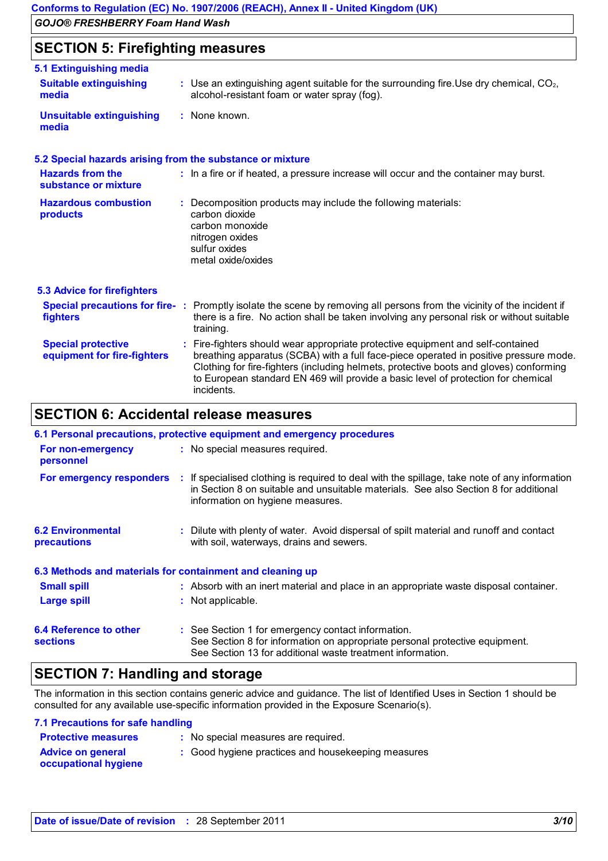## **SECTION 5: Firefighting measures**

| 5.1 Extinguishing media                                   |                                                                                                                                                                                                                                                                                                                                                                       |
|-----------------------------------------------------------|-----------------------------------------------------------------------------------------------------------------------------------------------------------------------------------------------------------------------------------------------------------------------------------------------------------------------------------------------------------------------|
| <b>Suitable extinguishing</b><br>media                    | $\sim$ Use an extinguishing agent suitable for the surrounding fire. Use dry chemical, $CO2$ ,<br>alcohol-resistant foam or water spray (fog).                                                                                                                                                                                                                        |
| <b>Unsuitable extinguishing</b><br>media                  | : None known.                                                                                                                                                                                                                                                                                                                                                         |
| 5.2 Special hazards arising from the substance or mixture |                                                                                                                                                                                                                                                                                                                                                                       |
| <b>Hazards from the</b><br>substance or mixture           | : In a fire or if heated, a pressure increase will occur and the container may burst.                                                                                                                                                                                                                                                                                 |
| <b>Hazardous combustion</b><br>products                   | Decomposition products may include the following materials:<br>carbon dioxide<br>carbon monoxide<br>nitrogen oxides<br>sulfur oxides<br>metal oxide/oxides                                                                                                                                                                                                            |
| <b>5.3 Advice for firefighters</b>                        |                                                                                                                                                                                                                                                                                                                                                                       |
| fighters                                                  | Special precautions for fire-: Promptly isolate the scene by removing all persons from the vicinity of the incident if<br>there is a fire. No action shall be taken involving any personal risk or without suitable<br>training.                                                                                                                                      |
| <b>Special protective</b><br>equipment for fire-fighters  | : Fire-fighters should wear appropriate protective equipment and self-contained<br>breathing apparatus (SCBA) with a full face-piece operated in positive pressure mode.<br>Clothing for fire-fighters (including helmets, protective boots and gloves) conforming<br>to European standard EN 469 will provide a basic level of protection for chemical<br>incidents. |

## **SECTION 6: Accidental release measures**

|                                                                   | 6.1 Personal precautions, protective equipment and emergency procedures                                                                                                                                                   |  |  |  |
|-------------------------------------------------------------------|---------------------------------------------------------------------------------------------------------------------------------------------------------------------------------------------------------------------------|--|--|--|
| : No special measures required.<br>For non-emergency<br>personnel |                                                                                                                                                                                                                           |  |  |  |
| For emergency responders                                          | : If specialised clothing is required to deal with the spillage, take note of any information<br>in Section 8 on suitable and unsuitable materials. See also Section 8 for additional<br>information on hygiene measures. |  |  |  |
| <b>6.2 Environmental</b><br>precautions                           | : Dilute with plenty of water. Avoid dispersal of spilt material and runoff and contact<br>with soil, waterways, drains and sewers.                                                                                       |  |  |  |
|                                                                   | 6.3 Methods and materials for containment and cleaning up                                                                                                                                                                 |  |  |  |
| <b>Small spill</b>                                                | : Absorb with an inert material and place in an appropriate waste disposal container.                                                                                                                                     |  |  |  |
| <b>Large spill</b>                                                | : Not applicable.                                                                                                                                                                                                         |  |  |  |
| 6.4 Reference to other<br><b>sections</b>                         | : See Section 1 for emergency contact information.<br>See Section 8 for information on appropriate personal protective equipment.<br>See Section 13 for additional waste treatment information.                           |  |  |  |

## **SECTION 7: Handling and storage**

The information in this section contains generic advice and guidance. The list of Identified Uses in Section 1 should be consulted for any available use-specific information provided in the Exposure Scenario(s).

#### **7.1 Precautions for safe handling**

| <b>Protective measures</b>                              | : No special measures are required.                |
|---------------------------------------------------------|----------------------------------------------------|
| <b>Advice on general</b><br><b>occupational hygiene</b> | : Good hygiene practices and housekeeping measures |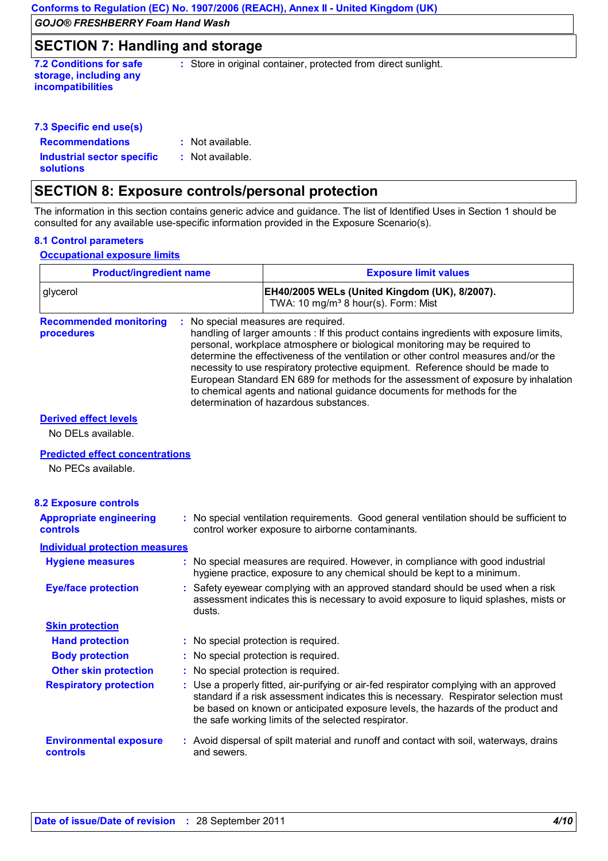## **SECTION 7: Handling and storage**

**storage, including any incompatibilities**

**7.2 Conditions for safe : Store in original container, protected from direct sunlight.** 

| 7.3 Specific end use(s)           |     |  |
|-----------------------------------|-----|--|
| <b>Recommendations</b>            | ÷Ν  |  |
| <b>Industrial sector specific</b> | : N |  |

: Not available. Not available.

## **SECTION 8: Exposure controls/personal protection**

The information in this section contains generic advice and guidance. The list of Identified Uses in Section 1 should be consulted for any available use-specific information provided in the Exposure Scenario(s).

#### **8.1 Control parameters**

**solutions**

**Occupational exposure limits**

| <b>Product/ingredient name</b>              |                                      | <b>Exposure limit values</b>                                                                                                                                                                                                                                                                                                                                                                                                                                                                                                                                                                 |
|---------------------------------------------|--------------------------------------|----------------------------------------------------------------------------------------------------------------------------------------------------------------------------------------------------------------------------------------------------------------------------------------------------------------------------------------------------------------------------------------------------------------------------------------------------------------------------------------------------------------------------------------------------------------------------------------------|
| glycerol                                    |                                      | EH40/2005 WELs (United Kingdom (UK), 8/2007).<br>TWA: 10 mg/m <sup>3</sup> 8 hour(s). Form: Mist                                                                                                                                                                                                                                                                                                                                                                                                                                                                                             |
| <b>Recommended monitoring</b><br>procedures |                                      | No special measures are required.<br>handling of larger amounts : If this product contains ingredients with exposure limits,<br>personal, workplace atmosphere or biological monitoring may be required to<br>determine the effectiveness of the ventilation or other control measures and/or the<br>necessity to use respiratory protective equipment. Reference should be made to<br>European Standard EN 689 for methods for the assessment of exposure by inhalation<br>to chemical agents and national guidance documents for methods for the<br>determination of hazardous substances. |
| <b>Derived effect levels</b>                |                                      |                                                                                                                                                                                                                                                                                                                                                                                                                                                                                                                                                                                              |
| No DELs available.                          |                                      |                                                                                                                                                                                                                                                                                                                                                                                                                                                                                                                                                                                              |
| <b>Predicted effect concentrations</b>      |                                      |                                                                                                                                                                                                                                                                                                                                                                                                                                                                                                                                                                                              |
| No PECs available.                          |                                      |                                                                                                                                                                                                                                                                                                                                                                                                                                                                                                                                                                                              |
| <b>8.2 Exposure controls</b>                |                                      |                                                                                                                                                                                                                                                                                                                                                                                                                                                                                                                                                                                              |
| <b>Appropriate engineering</b><br>controls  |                                      | : No special ventilation requirements. Good general ventilation should be sufficient to<br>control worker exposure to airborne contaminants.                                                                                                                                                                                                                                                                                                                                                                                                                                                 |
| <b>Individual protection measures</b>       |                                      |                                                                                                                                                                                                                                                                                                                                                                                                                                                                                                                                                                                              |
| <b>Hygiene measures</b>                     |                                      | No special measures are required. However, in compliance with good industrial<br>hygiene practice, exposure to any chemical should be kept to a minimum.                                                                                                                                                                                                                                                                                                                                                                                                                                     |
| <b>Eye/face protection</b>                  | dusts.                               | : Safety eyewear complying with an approved standard should be used when a risk<br>assessment indicates this is necessary to avoid exposure to liquid splashes, mists or                                                                                                                                                                                                                                                                                                                                                                                                                     |
| <b>Skin protection</b>                      |                                      |                                                                                                                                                                                                                                                                                                                                                                                                                                                                                                                                                                                              |
| <b>Hand protection</b>                      | : No special protection is required. |                                                                                                                                                                                                                                                                                                                                                                                                                                                                                                                                                                                              |
| <b>Body protection</b>                      | : No special protection is required. |                                                                                                                                                                                                                                                                                                                                                                                                                                                                                                                                                                                              |
| <b>Other skin protection</b>                | : No special protection is required. |                                                                                                                                                                                                                                                                                                                                                                                                                                                                                                                                                                                              |
| <b>Respiratory protection</b>               |                                      | : Use a properly fitted, air-purifying or air-fed respirator complying with an approved<br>standard if a risk assessment indicates this is necessary. Respirator selection must<br>be based on known or anticipated exposure levels, the hazards of the product and<br>the safe working limits of the selected respirator.                                                                                                                                                                                                                                                                   |
| <b>Environmental exposure</b><br>controls   | and sewers.                          | : Avoid dispersal of spilt material and runoff and contact with soil, waterways, drains                                                                                                                                                                                                                                                                                                                                                                                                                                                                                                      |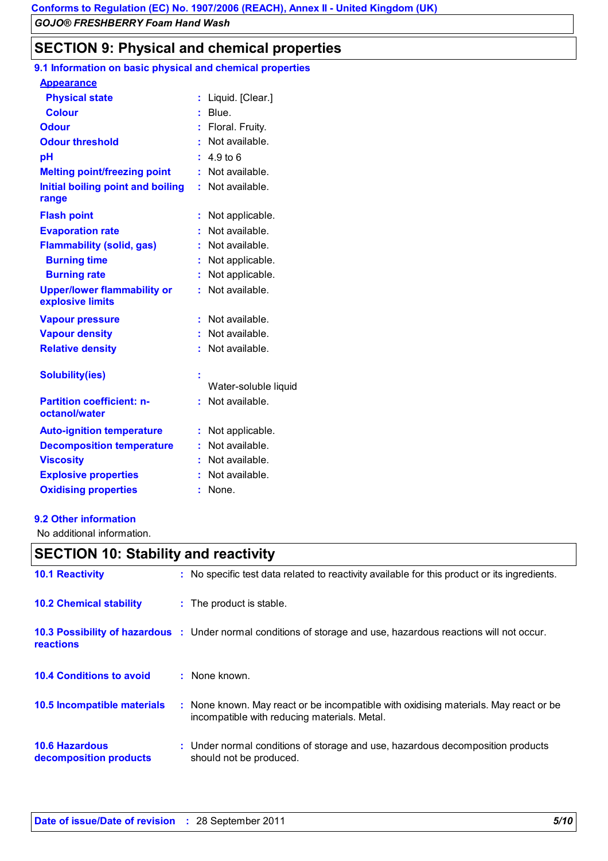## **SECTION 9: Physical and chemical properties**

| 9.1 Information on basic physical and chemical properties |    |                      |
|-----------------------------------------------------------|----|----------------------|
| <b>Appearance</b>                                         |    |                      |
| <b>Physical state</b>                                     | ř. | Liquid. [Clear.]     |
| <b>Colour</b>                                             |    | Blue.                |
| <b>Odour</b>                                              |    | Floral. Fruity.      |
| <b>Odour threshold</b>                                    |    | Not available.       |
| pH                                                        | ÷. | 4.9 <sub>to</sub> 6  |
| <b>Melting point/freezing point</b>                       |    | Not available.       |
| Initial boiling point and boiling<br>range                | ŧ. | Not available.       |
| <b>Flash point</b>                                        |    | Not applicable.      |
| <b>Evaporation rate</b>                                   |    | Not available.       |
| <b>Flammability (solid, gas)</b>                          |    | Not available.       |
| <b>Burning time</b>                                       | t. | Not applicable.      |
| <b>Burning rate</b>                                       |    | Not applicable.      |
| <b>Upper/lower flammability or</b><br>explosive limits    | t. | Not available.       |
| <b>Vapour pressure</b>                                    | ŧ. | Not available.       |
| <b>Vapour density</b>                                     |    | Not available.       |
| <b>Relative density</b>                                   | ŧ. | Not available.       |
| <b>Solubility(ies)</b>                                    |    | Water-soluble liquid |
| <b>Partition coefficient: n-</b><br>octanol/water         |    | Not available.       |
| <b>Auto-ignition temperature</b>                          | ř. | Not applicable.      |
| <b>Decomposition temperature</b>                          |    | Not available.       |
| <b>Viscosity</b>                                          |    | Not available.       |
| <b>Explosive properties</b>                               |    | Not available.       |
| <b>Oxidising properties</b>                               |    | None.                |

#### **9.2 Other information**

No additional information.

## **SECTION 10: Stability and reactivity**

| <b>10.1 Reactivity</b>                          | : No specific test data related to reactivity available for this product or its ingredients.                                         |
|-------------------------------------------------|--------------------------------------------------------------------------------------------------------------------------------------|
| <b>10.2 Chemical stability</b>                  | : The product is stable.                                                                                                             |
| <b>reactions</b>                                | 10.3 Possibility of hazardous : Under normal conditions of storage and use, hazardous reactions will not occur.                      |
| <b>10.4 Conditions to avoid</b>                 | $:$ None known.                                                                                                                      |
| <b>10.5 Incompatible materials</b>              | : None known. May react or be incompatible with oxidising materials. May react or be<br>incompatible with reducing materials. Metal. |
| <b>10.6 Hazardous</b><br>decomposition products | : Under normal conditions of storage and use, hazardous decomposition products<br>should not be produced.                            |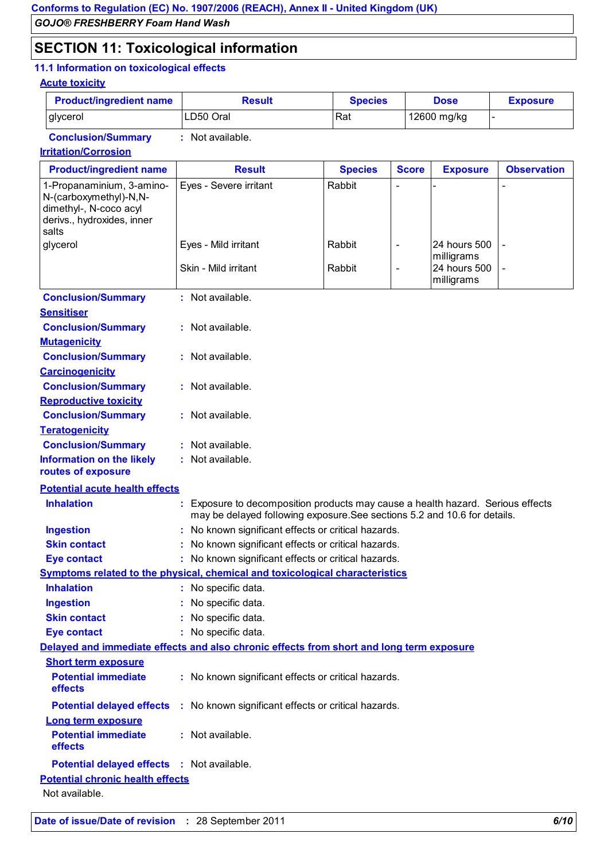## **SECTION 11: Toxicological information**

## **11.1 Information on toxicological effects**

#### **Acute toxicity**

| <b>Product/ingredient name</b> | Result    | <b>Species</b> | <b>Dose</b> | <b>Exposure</b> |
|--------------------------------|-----------|----------------|-------------|-----------------|
| glycerol                       | LD50 Oral | Rat            | 12600 mg/kg |                 |

**Conclusion/Summary :** Not available.

#### **Irritation/Corrosion**

| <b>Product/ingredient name</b>                                                                                       | <b>Result</b>                                                                                                                                              | <b>Species</b> | <b>Score</b>             | <b>Exposure</b>                          | <b>Observation</b>       |  |
|----------------------------------------------------------------------------------------------------------------------|------------------------------------------------------------------------------------------------------------------------------------------------------------|----------------|--------------------------|------------------------------------------|--------------------------|--|
| 1-Propanaminium, 3-amino-<br>N-(carboxymethyl)-N,N-<br>dimethyl-, N-coco acyl<br>derivs., hydroxides, inner<br>salts | Eyes - Severe irritant                                                                                                                                     | Rabbit         |                          |                                          |                          |  |
| glycerol                                                                                                             | Eyes - Mild irritant                                                                                                                                       | Rabbit         | $\overline{\phantom{a}}$ | 24 hours 500                             |                          |  |
|                                                                                                                      | Skin - Mild irritant                                                                                                                                       | Rabbit         | ÷,                       | milligrams<br>24 hours 500<br>milligrams | $\overline{\phantom{0}}$ |  |
| <b>Conclusion/Summary</b>                                                                                            | : Not available.                                                                                                                                           |                |                          |                                          |                          |  |
| <b>Sensitiser</b>                                                                                                    |                                                                                                                                                            |                |                          |                                          |                          |  |
| <b>Conclusion/Summary</b>                                                                                            | : Not available.                                                                                                                                           |                |                          |                                          |                          |  |
| <b>Mutagenicity</b>                                                                                                  |                                                                                                                                                            |                |                          |                                          |                          |  |
| <b>Conclusion/Summary</b>                                                                                            | : Not available.                                                                                                                                           |                |                          |                                          |                          |  |
| <b>Carcinogenicity</b>                                                                                               |                                                                                                                                                            |                |                          |                                          |                          |  |
| <b>Conclusion/Summary</b>                                                                                            | : Not available.                                                                                                                                           |                |                          |                                          |                          |  |
| <b>Reproductive toxicity</b>                                                                                         |                                                                                                                                                            |                |                          |                                          |                          |  |
| <b>Conclusion/Summary</b>                                                                                            | : Not available.                                                                                                                                           |                |                          |                                          |                          |  |
| <b>Teratogenicity</b>                                                                                                |                                                                                                                                                            |                |                          |                                          |                          |  |
| <b>Conclusion/Summary</b>                                                                                            | Not available.                                                                                                                                             |                |                          |                                          |                          |  |
| <b>Information on the likely</b><br>routes of exposure                                                               | : Not available.                                                                                                                                           |                |                          |                                          |                          |  |
| <b>Potential acute health effects</b>                                                                                |                                                                                                                                                            |                |                          |                                          |                          |  |
| <b>Inhalation</b>                                                                                                    | Exposure to decomposition products may cause a health hazard. Serious effects<br>may be delayed following exposure. See sections 5.2 and 10.6 for details. |                |                          |                                          |                          |  |
| <b>Ingestion</b>                                                                                                     | No known significant effects or critical hazards.                                                                                                          |                |                          |                                          |                          |  |
| <b>Skin contact</b>                                                                                                  | : No known significant effects or critical hazards.                                                                                                        |                |                          |                                          |                          |  |
| <b>Eye contact</b>                                                                                                   | : No known significant effects or critical hazards.                                                                                                        |                |                          |                                          |                          |  |
| <b>Symptoms related to the physical, chemical and toxicological characteristics</b>                                  |                                                                                                                                                            |                |                          |                                          |                          |  |
| <b>Inhalation</b>                                                                                                    | : No specific data.                                                                                                                                        |                |                          |                                          |                          |  |
| <b>Ingestion</b>                                                                                                     | : No specific data.                                                                                                                                        |                |                          |                                          |                          |  |
| <b>Skin contact</b>                                                                                                  | No specific data.                                                                                                                                          |                |                          |                                          |                          |  |
| <b>Eye contact</b>                                                                                                   | : No specific data.                                                                                                                                        |                |                          |                                          |                          |  |
|                                                                                                                      | Delayed and immediate effects and also chronic effects from short and long term exposure                                                                   |                |                          |                                          |                          |  |
| <b>Short term exposure</b>                                                                                           |                                                                                                                                                            |                |                          |                                          |                          |  |
| <b>Potential immediate</b><br>effects                                                                                | : No known significant effects or critical hazards.                                                                                                        |                |                          |                                          |                          |  |
| <b>Potential delayed effects</b>                                                                                     | : No known significant effects or critical hazards.                                                                                                        |                |                          |                                          |                          |  |
| <b>Long term exposure</b>                                                                                            |                                                                                                                                                            |                |                          |                                          |                          |  |
| <b>Potential immediate</b><br>effects                                                                                | : Not available.                                                                                                                                           |                |                          |                                          |                          |  |
|                                                                                                                      | Potential delayed effects : Not available.                                                                                                                 |                |                          |                                          |                          |  |
| <b>Potential chronic health effects</b>                                                                              |                                                                                                                                                            |                |                          |                                          |                          |  |
| Not available.                                                                                                       |                                                                                                                                                            |                |                          |                                          |                          |  |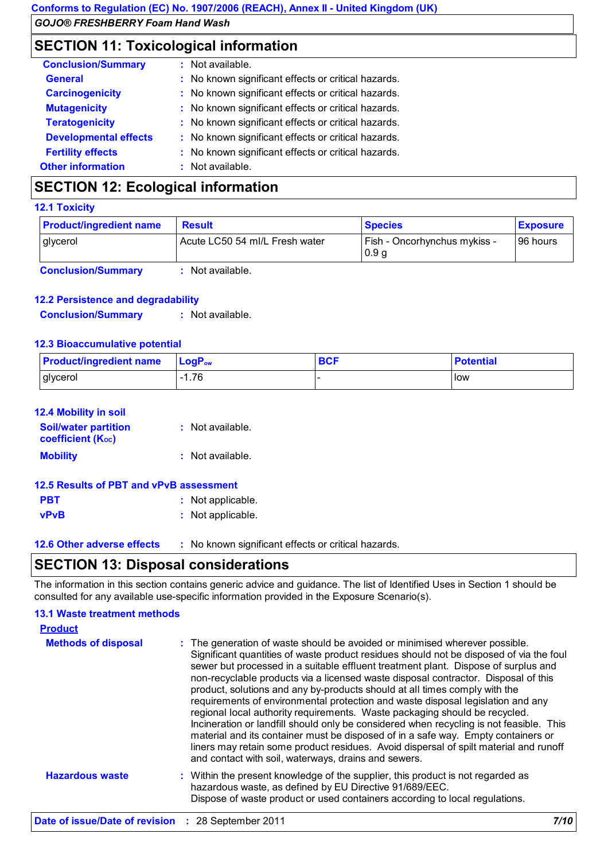## **SECTION 11: Toxicological information**

| <b>Conclusion/Summary</b>    | : Not available.                                    |
|------------------------------|-----------------------------------------------------|
| <b>General</b>               | : No known significant effects or critical hazards. |
| <b>Carcinogenicity</b>       | : No known significant effects or critical hazards. |
| <b>Mutagenicity</b>          | : No known significant effects or critical hazards. |
| <b>Teratogenicity</b>        | : No known significant effects or critical hazards. |
| <b>Developmental effects</b> | : No known significant effects or critical hazards. |
| <b>Fertility effects</b>     | : No known significant effects or critical hazards. |
| <b>Other information</b>     | : Not available.                                    |

## **SECTION 12: Ecological information**

#### **12.1 Toxicity**

| <b>Product/ingredient name</b> | <b>Result</b>                  | <b>Species</b>                                   | <b>Exposure</b> |
|--------------------------------|--------------------------------|--------------------------------------------------|-----------------|
| glycerol                       | Acute LC50 54 ml/L Fresh water | Fish - Oncorhynchus mykiss -<br>0.9 <sub>g</sub> | 96 hours        |
| <b>Conclusion/Summary</b>      | Not available.                 |                                                  |                 |

**12.2 Persistence and degradability Conclusion/Summary :** Not available.

#### **12.3 Bioaccumulative potential**

| <b>Product/ingredient name</b> | $\mathsf{LocP}_\mathsf{ow}$ | <b>BCF</b> | <b>Potential</b> |
|--------------------------------|-----------------------------|------------|------------------|
| glycerol                       | $-1.76$                     |            | llow             |

#### **12.4 Mobility in soil**

| <b>Soil/water partition</b><br><b>coefficient (Koc)</b> | $:$ Not available. |
|---------------------------------------------------------|--------------------|
| <b>Mobility</b>                                         | $:$ Not available. |

## **12.5 Results of PBT and vPvB assessment**

- **PBT :** Not applicable. **vPvB :** Not applicable.
	-

**12.6 Other adverse effects** : No known significant effects or critical hazards.

## **SECTION 13: Disposal considerations**

The information in this section contains generic advice and guidance. The list of Identified Uses in Section 1 should be consulted for any available use-specific information provided in the Exposure Scenario(s).

## **13.1 Waste treatment methods**

| <b>Product</b>             |                                                                                                                                                                                                                                                                                                                                                                                                                                                                                                                                                                                                                                                                                                                                                                                                                                                                                                                                    |
|----------------------------|------------------------------------------------------------------------------------------------------------------------------------------------------------------------------------------------------------------------------------------------------------------------------------------------------------------------------------------------------------------------------------------------------------------------------------------------------------------------------------------------------------------------------------------------------------------------------------------------------------------------------------------------------------------------------------------------------------------------------------------------------------------------------------------------------------------------------------------------------------------------------------------------------------------------------------|
| <b>Methods of disposal</b> | : The generation of waste should be avoided or minimised wherever possible.<br>Significant quantities of waste product residues should not be disposed of via the foul<br>sewer but processed in a suitable effluent treatment plant. Dispose of surplus and<br>non-recyclable products via a licensed waste disposal contractor. Disposal of this<br>product, solutions and any by-products should at all times comply with the<br>requirements of environmental protection and waste disposal legislation and any<br>regional local authority requirements. Waste packaging should be recycled.<br>Incineration or landfill should only be considered when recycling is not feasible. This<br>material and its container must be disposed of in a safe way. Empty containers or<br>liners may retain some product residues. Avoid dispersal of spilt material and runoff<br>and contact with soil, waterways, drains and sewers. |
| <b>Hazardous waste</b>     | : Within the present knowledge of the supplier, this product is not regarded as<br>hazardous waste, as defined by EU Directive 91/689/EEC.<br>Dispose of waste product or used containers according to local regulations.                                                                                                                                                                                                                                                                                                                                                                                                                                                                                                                                                                                                                                                                                                          |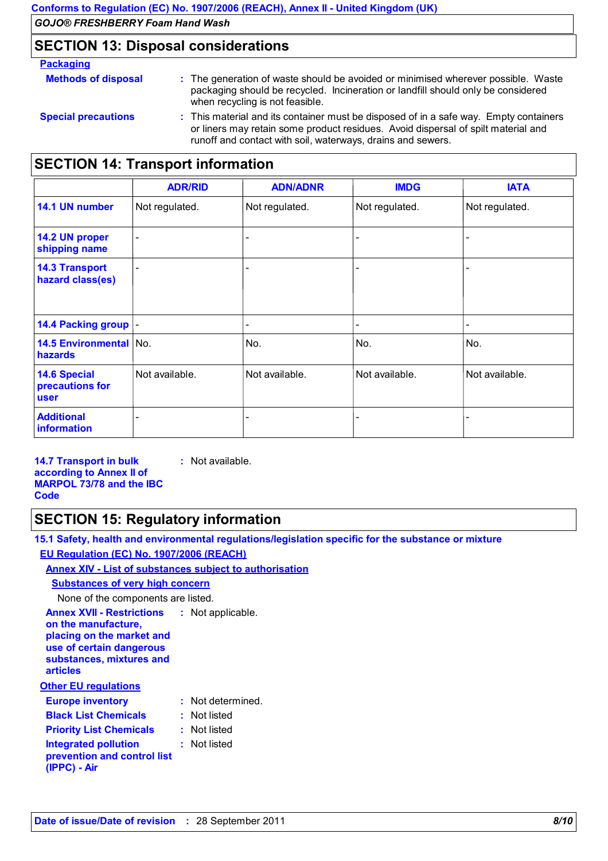## **SECTION 13: Disposal considerations**

| <b>Packaging</b>           |                                                                                                                                                                                                                                           |
|----------------------------|-------------------------------------------------------------------------------------------------------------------------------------------------------------------------------------------------------------------------------------------|
| <b>Methods of disposal</b> | : The generation of waste should be avoided or minimised wherever possible. Waste<br>packaging should be recycled. Incineration or landfill should only be considered<br>when recycling is not feasible.                                  |
| <b>Special precautions</b> | : This material and its container must be disposed of in a safe way. Empty containers<br>or liners may retain some product residues. Avoid dispersal of spilt material and<br>runoff and contact with soil, waterways, drains and sewers. |

## **SECTION 14: Transport information**

|                                                       | <b>ADR/RID</b>           | <b>ADN/ADNR</b> | <b>IMDG</b>    | <b>IATA</b>    |
|-------------------------------------------------------|--------------------------|-----------------|----------------|----------------|
| 14.1 UN number                                        | Not regulated.           | Not regulated.  | Not regulated. | Not regulated. |
| 14.2 UN proper<br>shipping name                       | $\overline{\phantom{0}}$ |                 |                |                |
| <b>14.3 Transport</b><br>hazard class(es)             | $\overline{\phantom{0}}$ |                 |                |                |
| 14.4 Packing group  -                                 |                          |                 |                |                |
| <b>14.5 Environmental   No.</b><br>hazards            |                          | No.             | No.            | No.            |
| <b>14.6 Special</b><br>precautions for<br><b>user</b> | Not available.           | Not available.  | Not available. | Not available. |
| <b>Additional</b><br>information                      | $\overline{a}$           |                 |                |                |

**14.7 Transport in bulk according to Annex II of MARPOL 73/78 and the IBC Code :** Not available.

## **SECTION 15: Regulatory information**

**15.1 Safety, health and environmental regulations/legislation specific for the substance or mixture EU Regulation (EC) No. 1907/2006 (REACH)**

#### **Annex XIV - List of substances subject to authorisation**

#### **Substances of very high concern**

None of the components are listed.

| Not applicable.   |
|-------------------|
|                   |
| : Not determined. |
| Not listed        |
| Not listed        |
| Not listed        |
| ٠.                |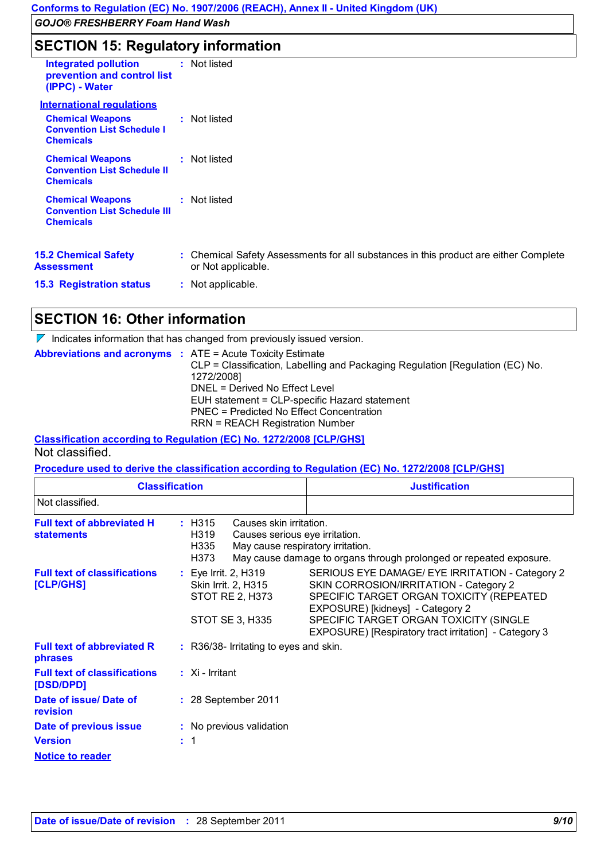## **SECTION 15: Regulatory information**

| <b>Integrated pollution</b><br>prevention and control list<br>(IPPC) - Water       | : Not listed                                                                                               |
|------------------------------------------------------------------------------------|------------------------------------------------------------------------------------------------------------|
| <b>International requlations</b>                                                   |                                                                                                            |
| <b>Chemical Weapons</b><br><b>Convention List Schedule I</b><br><b>Chemicals</b>   | : Not listed                                                                                               |
| <b>Chemical Weapons</b><br><b>Convention List Schedule II</b><br><b>Chemicals</b>  | : Not listed                                                                                               |
| <b>Chemical Weapons</b><br><b>Convention List Schedule III</b><br><b>Chemicals</b> | : Not listed                                                                                               |
| <b>15.2 Chemical Safety</b><br>Assessment                                          | : Chemical Safety Assessments for all substances in this product are either Complete<br>or Not applicable. |
| <b>15.3 Registration status</b>                                                    | : Not applicable.                                                                                          |

## **SECTION 16: Other information**

 $\nabla$  Indicates information that has changed from previously issued version.

| <b>Abbreviations and acronyms : ATE = Acute Toxicity Estimate</b> | CLP = Classification, Labelling and Packaging Regulation [Regulation (EC) No.<br>1272/2008]<br>DNEL = Derived No Effect Level<br>EUH statement = CLP-specific Hazard statement<br><b>PNEC = Predicted No Effect Concentration</b><br><b>RRN = REACH Registration Number</b> |
|-------------------------------------------------------------------|-----------------------------------------------------------------------------------------------------------------------------------------------------------------------------------------------------------------------------------------------------------------------------|
|                                                                   |                                                                                                                                                                                                                                                                             |

**Classification according to Regulation (EC) No. 1272/2008 [CLP/GHS]** Not classified.

**Procedure used to derive the classification according to Regulation (EC) No. 1272/2008 [CLP/GHS]**

|                                                        | <b>Classification</b>                                                                                                                           | <b>Justification</b>                                                                                                                                                                                                                                                         |  |
|--------------------------------------------------------|-------------------------------------------------------------------------------------------------------------------------------------------------|------------------------------------------------------------------------------------------------------------------------------------------------------------------------------------------------------------------------------------------------------------------------------|--|
| Not classified.                                        |                                                                                                                                                 |                                                                                                                                                                                                                                                                              |  |
| <b>Full text of abbreviated H</b><br><b>statements</b> | $:$ H315<br>Causes skin irritation.<br>H <sub>3</sub> 19<br>Causes serious eye irritation.<br>May cause respiratory irritation.<br>H335<br>H373 | May cause damage to organs through prolonged or repeated exposure.                                                                                                                                                                                                           |  |
| <b>Full text of classifications</b><br>[CLP/GHS]       | : Eye Irrit. 2, H319<br>Skin Irrit. 2, H315<br>STOT RE 2, H373<br>STOT SE 3, H335                                                               | SERIOUS EYE DAMAGE/ EYE IRRITATION - Category 2<br>SKIN CORROSION/IRRITATION - Category 2<br>SPECIFIC TARGET ORGAN TOXICITY (REPEATED<br>EXPOSURE) [kidneys] - Category 2<br>SPECIFIC TARGET ORGAN TOXICITY (SINGLE<br>EXPOSURE) [Respiratory tract irritation] - Category 3 |  |
| <b>Full text of abbreviated R</b><br>phrases           | : R36/38- Irritating to eyes and skin.                                                                                                          |                                                                                                                                                                                                                                                                              |  |
| <b>Full text of classifications</b><br>[DSD/DPD]       | $\therefore$ Xi - Irritant                                                                                                                      |                                                                                                                                                                                                                                                                              |  |
| Date of issue/ Date of<br>revision                     | : 28 September 2011                                                                                                                             |                                                                                                                                                                                                                                                                              |  |
| Date of previous issue                                 | : No previous validation                                                                                                                        |                                                                                                                                                                                                                                                                              |  |
| <b>Version</b>                                         | : 1                                                                                                                                             |                                                                                                                                                                                                                                                                              |  |
| <b>Notice to reader</b>                                |                                                                                                                                                 |                                                                                                                                                                                                                                                                              |  |